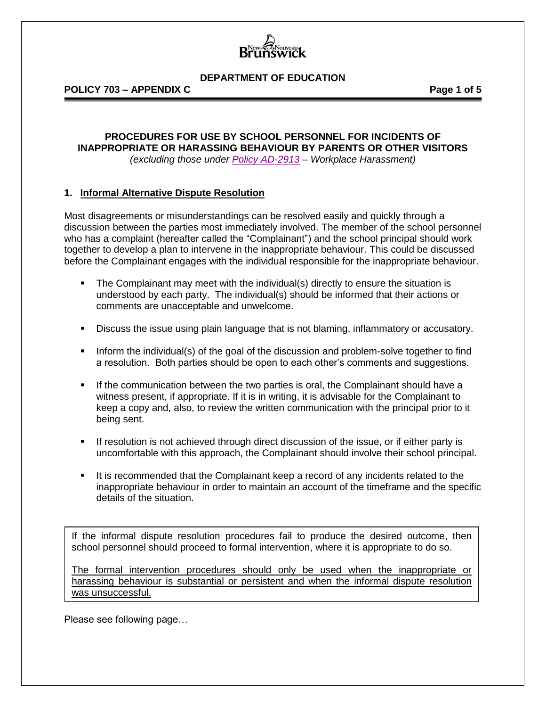

# **POLICY 703 – APPENDIX C Page 1 of 5**

# **PROCEDURES FOR USE BY SCHOOL PERSONNEL FOR INCIDENTS OF INAPPROPRIATE OR HARASSING BEHAVIOUR BY PARENTS OR OTHER VISITORS**

*(excluding those under Policy [AD-2913](http://intranet.gnb.ca/intellinet/adminman/adminman/2913-e.asp) – Workplace Harassment)*

#### **1. Informal Alternative Dispute Resolution**

Most disagreements or misunderstandings can be resolved easily and quickly through a discussion between the parties most immediately involved. The member of the school personnel who has a complaint (hereafter called the "Complainant") and the school principal should work together to develop a plan to intervene in the inappropriate behaviour. This could be discussed before the Complainant engages with the individual responsible for the inappropriate behaviour.

- The Complainant may meet with the individual(s) directly to ensure the situation is understood by each party. The individual(s) should be informed that their actions or comments are unacceptable and unwelcome.
- **Discuss the issue using plain language that is not blaming, inflammatory or accusatory.**
- Inform the individual(s) of the goal of the discussion and problem-solve together to find a resolution. Both parties should be open to each other's comments and suggestions.
- If the communication between the two parties is oral, the Complainant should have a witness present, if appropriate. If it is in writing, it is advisable for the Complainant to keep a copy and, also, to review the written communication with the principal prior to it being sent.
- **If resolution is not achieved through direct discussion of the issue, or if either party is** uncomfortable with this approach, the Complainant should involve their school principal.
- It is recommended that the Complainant keep a record of any incidents related to the inappropriate behaviour in order to maintain an account of the timeframe and the specific details of the situation.

If the informal dispute resolution procedures fail to produce the desired outcome, then school personnel should proceed to formal intervention, where it is appropriate to do so.

The formal intervention procedures should only be used when the inappropriate or harassing behaviour is substantial or persistent and when the informal dispute resolution was unsuccessful.

Please see following page…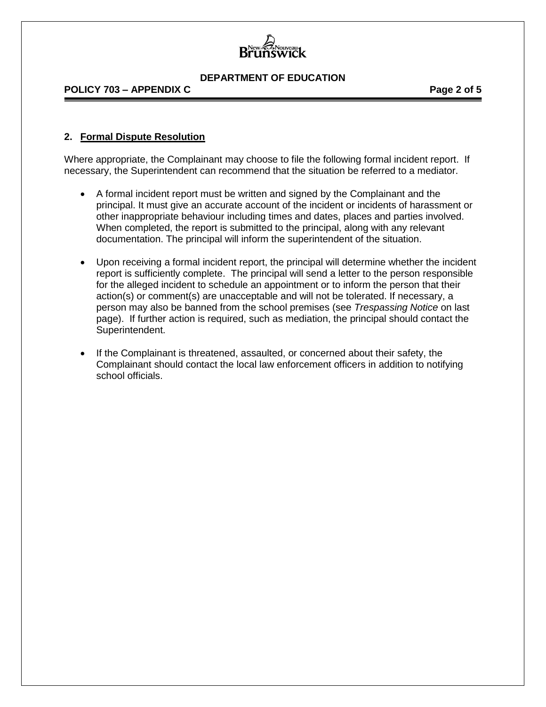

# **POLICY 703 – APPENDIX C Page 2 of 5**

#### **2. Formal Dispute Resolution**

Where appropriate, the Complainant may choose to file the following formal incident report. If necessary, the Superintendent can recommend that the situation be referred to a mediator.

- A formal incident report must be written and signed by the Complainant and the principal. It must give an accurate account of the incident or incidents of harassment or other inappropriate behaviour including times and dates, places and parties involved. When completed, the report is submitted to the principal, along with any relevant documentation. The principal will inform the superintendent of the situation.
- Upon receiving a formal incident report, the principal will determine whether the incident report is sufficiently complete. The principal will send a letter to the person responsible for the alleged incident to schedule an appointment or to inform the person that their action(s) or comment(s) are unacceptable and will not be tolerated. If necessary, a person may also be banned from the school premises (see *Trespassing Notice* on last page). If further action is required, such as mediation, the principal should contact the Superintendent.
- If the Complainant is threatened, assaulted, or concerned about their safety, the Complainant should contact the local law enforcement officers in addition to notifying school officials.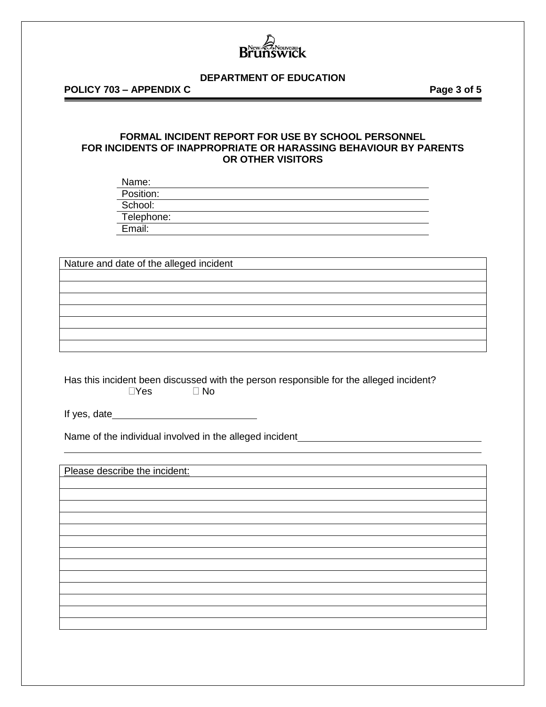

# **POLICY 703 – APPENDIX C Page 3 of 5**

# **FORMAL INCIDENT REPORT FOR USE BY SCHOOL PERSONNEL FOR INCIDENTS OF INAPPROPRIATE OR HARASSING BEHAVIOUR BY PARENTS OR OTHER VISITORS**

| Name:      |  |
|------------|--|
| Position:  |  |
| School:    |  |
| Telephone: |  |
| Email:     |  |
|            |  |

Nature and date of the alleged incident

Has this incident been discussed with the person responsible for the alleged incident?  $\square$ Yes  $\square$  No

If yes, date

Name of the individual involved in the alleged incident<br>
Name of the individual involved in the alleged incident

Please describe the incident: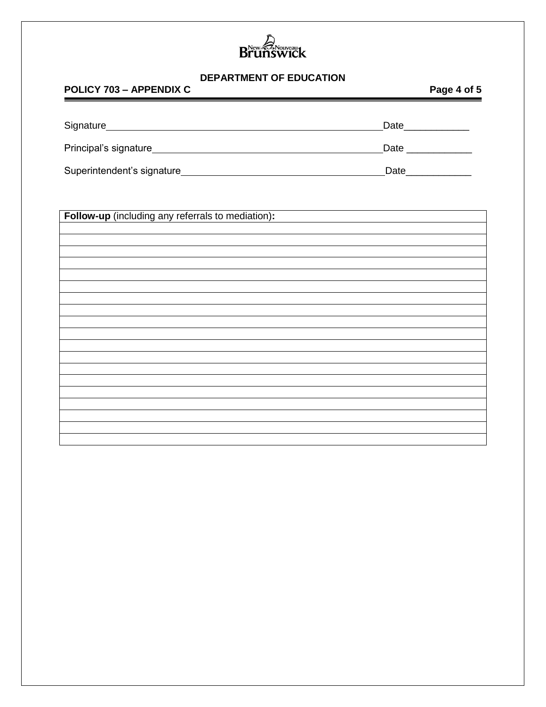# Brunswick

# **DEPARTMENT OF EDUCATION**

| POLICY 703 - APPENDIX C                           | Page 4 of 5        |
|---------------------------------------------------|--------------------|
|                                                   | Date_____________  |
|                                                   | Date _____________ |
|                                                   | Date____________   |
|                                                   |                    |
| Follow-up (including any referrals to mediation): |                    |
|                                                   |                    |
|                                                   |                    |
|                                                   |                    |
|                                                   |                    |
|                                                   |                    |
|                                                   |                    |
|                                                   |                    |
|                                                   |                    |
|                                                   |                    |
|                                                   |                    |